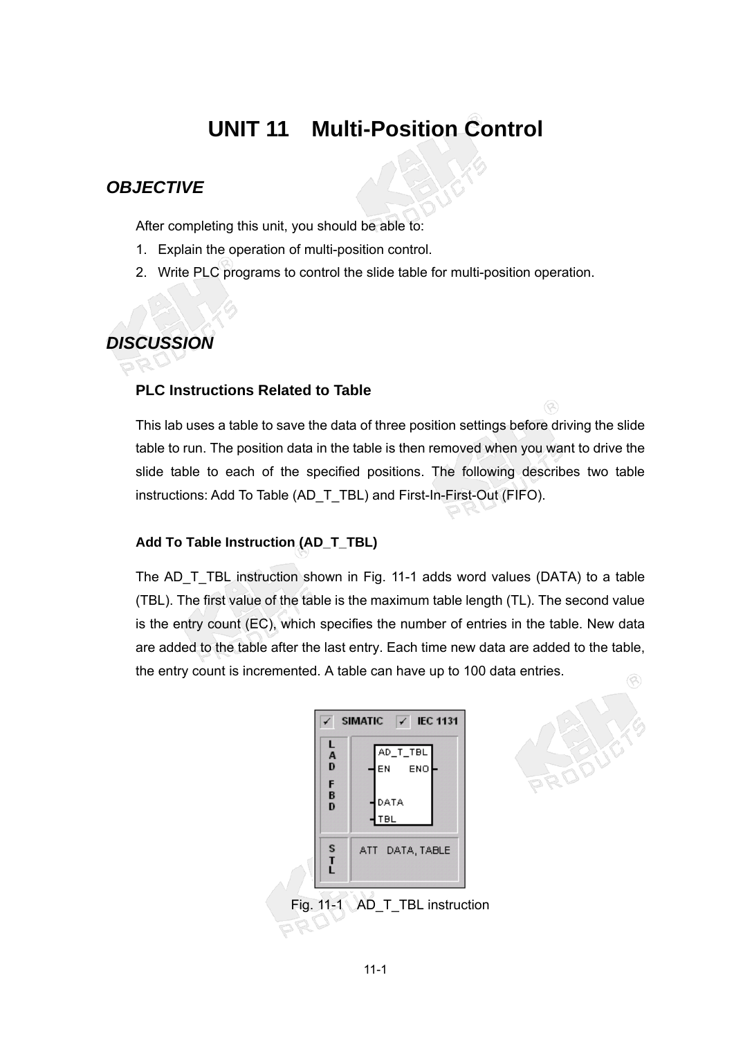# **UNIT 11 Multi-Position Control**

### *OBJECTIVE*

After completing this unit, you should be able to:

- 1. Explain the operation of multi-position control.
- 2. Write PLC programs to control the slide table for multi-position operation.

# *DISCUSSION*

#### **PLC Instructions Related to Table**

This lab uses a table to save the data of three position settings before driving the slide table to run. The position data in the table is then removed when you want to drive the slide table to each of the specified positions. The following describes two table instructions: Add To Table (AD\_T\_TBL) and First-In-First-Out (FIFO).

#### **Add To Table Instruction (AD\_T\_TBL)**

The AD\_T\_TBL instruction shown in Fig. 11-1 adds word values (DATA) to a table (TBL). The first value of the table is the maximum table length (TL). The second value is the entry count (EC), which specifies the number of entries in the table. New data are added to the table after the last entry. Each time new data are added to the table, the entry count is incremented. A table can have up to 100 data entries.



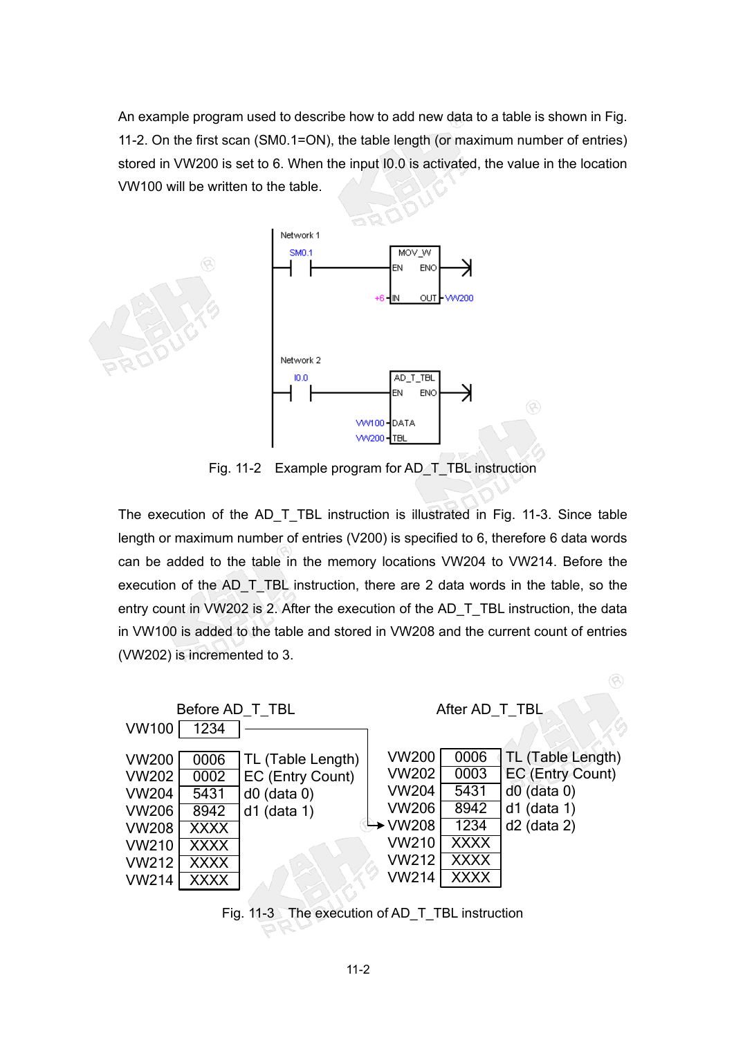An example program used to describe how to add new data to a table is shown in Fig. 11-2. On the first scan (SM0.1=ON), the table length (or maximum number of entries) stored in VW200 is set to 6. When the input I0.0 is activated, the value in the location VW100 will be written to the table.



Fig. 11-2 Example program for AD\_T\_TBL instruction

The execution of the AD\_T\_TBL instruction is illustrated in Fig. 11-3. Since table length or maximum number of entries (V200) is specified to 6, therefore 6 data words can be added to the table in the memory locations VW204 to VW214. Before the execution of the AD\_T\_TBL instruction, there are 2 data words in the table, so the entry count in VW202 is 2. After the execution of the AD\_T\_TBL instruction, the data in VW100 is added to the table and stored in VW208 and the current count of entries (VW202) is incremented to 3.



Fig. 11-3 The execution of AD\_T\_TBL instruction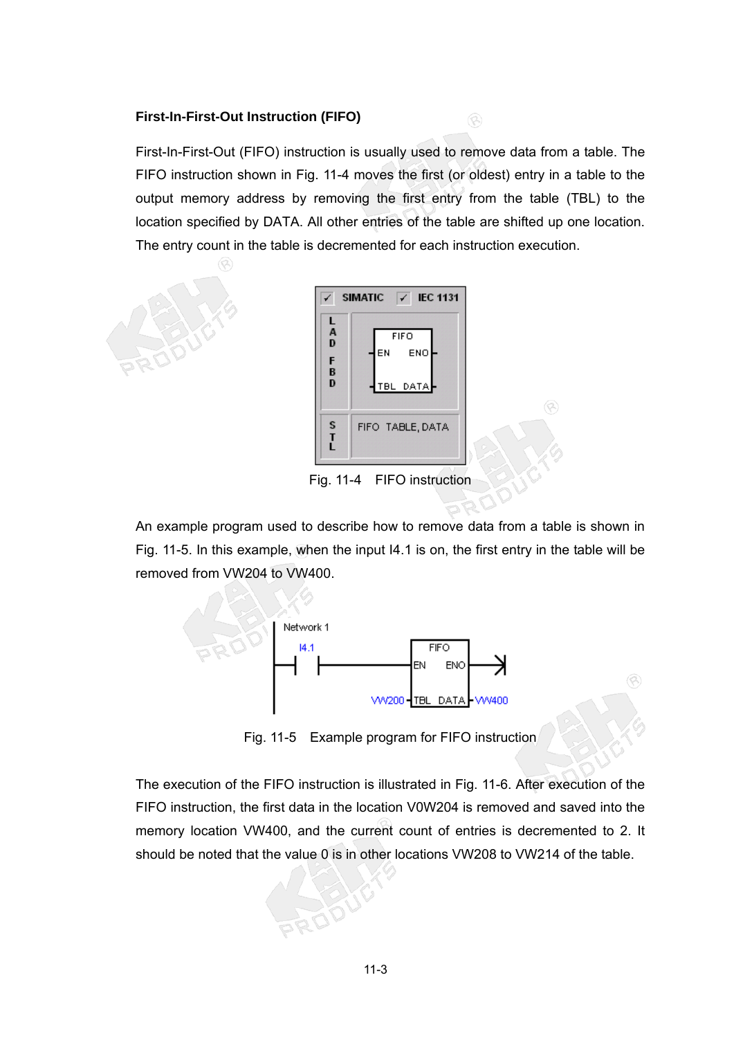#### **First-In-First-Out Instruction (FIFO)**

First-In-First-Out (FIFO) instruction is usually used to remove data from a table. The FIFO instruction shown in Fig. 11-4 moves the first (or oldest) entry in a table to the output memory address by removing the first entry from the table (TBL) to the location specified by DATA. All other entries of the table are shifted up one location. The entry count in the table is decremented for each instruction execution.

 $\circledR$ 





Fig. 11-4 FIFO instruction

An example program used to describe how to remove data from a table is shown in Fig. 11-5. In this example, when the input I4.1 is on, the first entry in the table will be removed from VW204 to VW400.



Fig. 11-5 Example program for FIFO instruction

Q

The execution of the FIFO instruction is illustrated in Fig. 11-6. After execution of the FIFO instruction, the first data in the location V0W204 is removed and saved into the memory location VW400, and the current count of entries is decremented to 2. It should be noted that the value 0 is in other locations VW208 to VW214 of the table.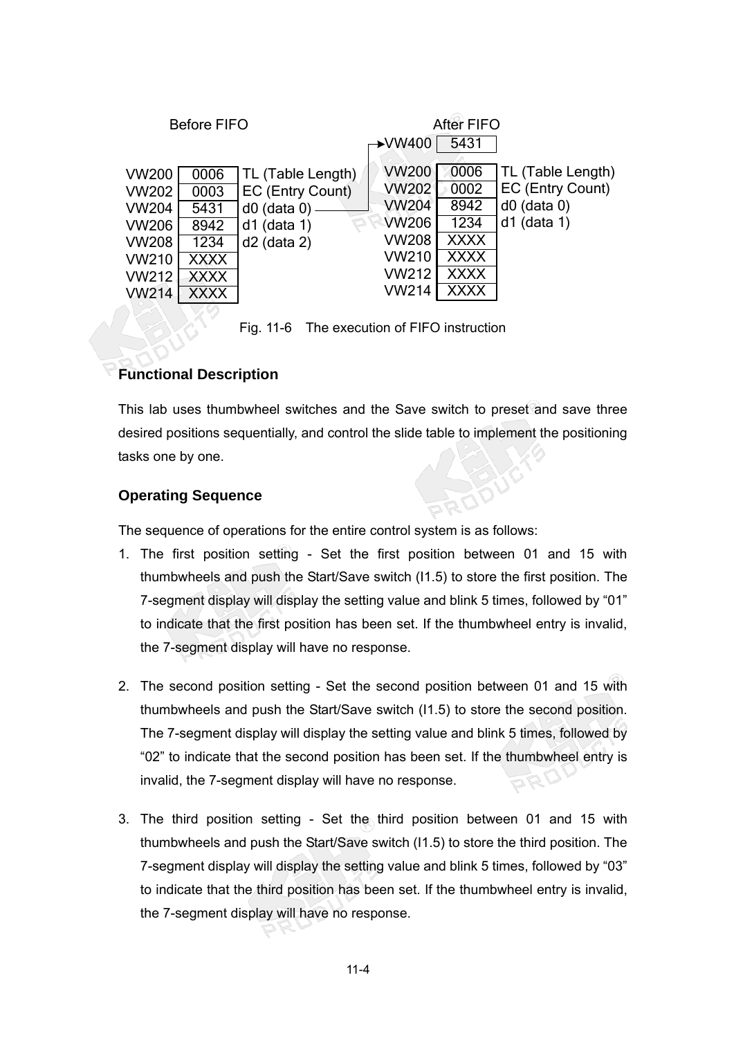| <b>Before FIFO</b>                                                                                                                                                                                    | <b>After FIFO</b>                                                                                                                                                                                                                     |
|-------------------------------------------------------------------------------------------------------------------------------------------------------------------------------------------------------|---------------------------------------------------------------------------------------------------------------------------------------------------------------------------------------------------------------------------------------|
|                                                                                                                                                                                                       | $\rightarrow$ VW400<br>5431                                                                                                                                                                                                           |
| VW200<br>0006<br>TL (Table Length)<br>VW202<br>EC (Entry Count)<br>0003<br>VW204<br>5431<br>$d0$ (data 0)<br>VW206<br>$d1$ (data 1)<br>8942<br>$d2$ (data 2)<br>VW208<br>1234<br>VW210<br><b>XXXX</b> | <b>VW200</b><br>0006<br>TL (Table Length)<br>EC (Entry Count)<br><b>VW202</b><br>0002<br><b>VW204</b><br>8942<br>$d0$ (data 0)<br><b>VW206</b><br>$d1$ (data 1)<br>1234<br><b>VW208</b><br><b>XXXX</b><br><b>VW210</b><br><b>XXXX</b> |
| VW212<br>XXXX                                                                                                                                                                                         | <b>VW212</b><br><b>XXXX</b>                                                                                                                                                                                                           |
| VW214<br>XXXX                                                                                                                                                                                         | <b>VW214</b><br><b>XXXX</b>                                                                                                                                                                                                           |

Fig. 11-6 The execution of FIFO instruction

#### **Functional Description**

This lab uses thumbwheel switches and the Save switch to preset and save three desired positions sequentially, and control the slide table to implement the positioning tasks one by one.

#### **Operating Sequence**

The sequence of operations for the entire control system is as follows:

- 1. The first position setting Set the first position between 01 and 15 with thumbwheels and push the Start/Save switch (I1.5) to store the first position. The 7-segment display will display the setting value and blink 5 times, followed by "01" to indicate that the first position has been set. If the thumbwheel entry is invalid, the 7-segment display will have no response.
- 2. The second position setting Set the second position between 01 and 15 with thumbwheels and push the Start/Save switch (I1.5) to store the second position. The 7-segment display will display the setting value and blink 5 times, followed by "02" to indicate that the second position has been set. If the thumbwheel entry is invalid, the 7-segment display will have no response.
- 3. The third position setting Set the third position between 01 and 15 with thumbwheels and push the Start/Save switch (I1.5) to store the third position. The 7-segment display will display the setting value and blink 5 times, followed by "03" to indicate that the third position has been set. If the thumbwheel entry is invalid, the 7-segment display will have no response.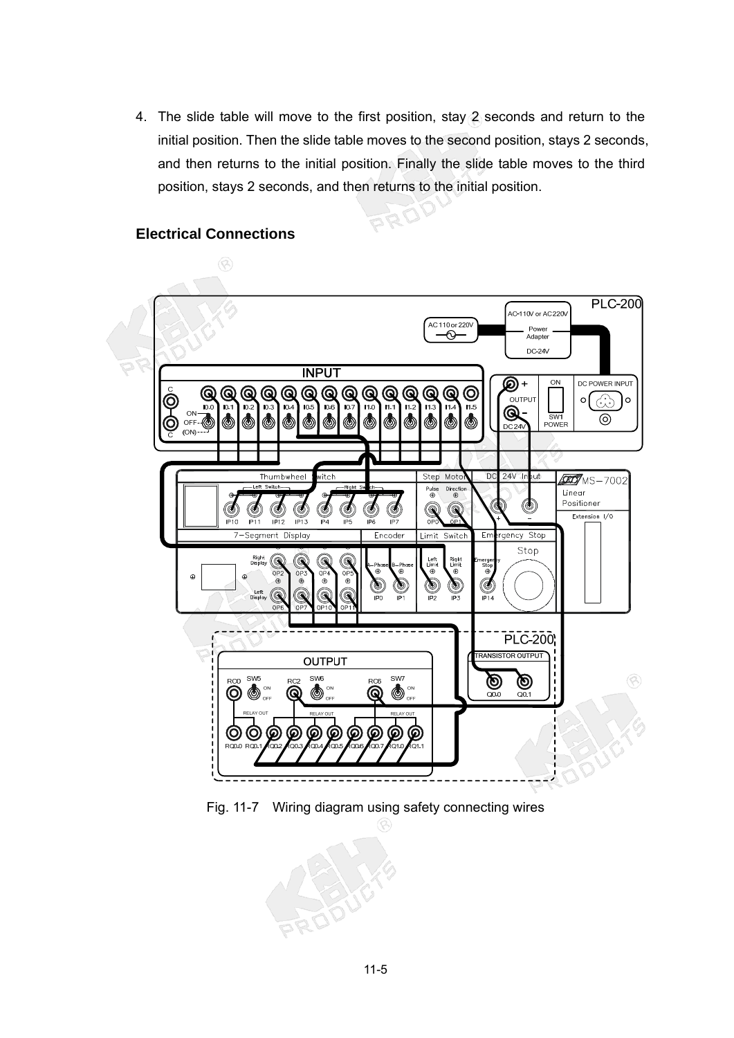4. The slide table will move to the first position, stay 2 seconds and return to the initial position. Then the slide table moves to the second position, stays 2 seconds, and then returns to the initial position. Finally the slide table moves to the third position, stays 2 seconds, and then returns to the initial position.

#### **Electrical Connections**





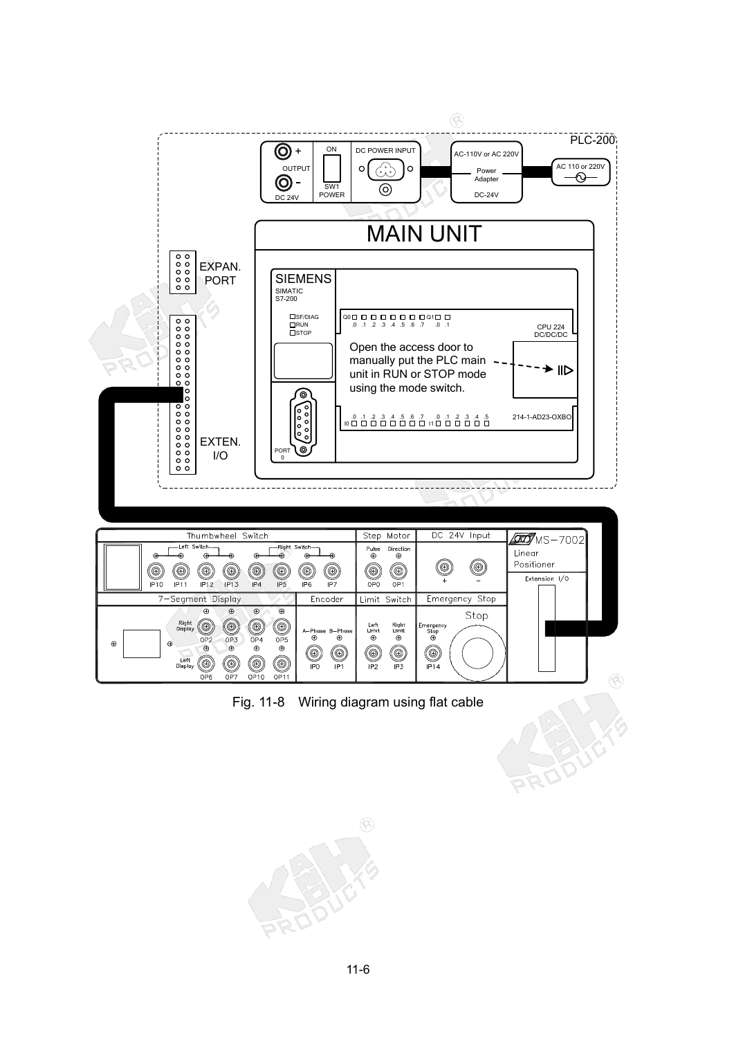

Fig. 11-8 Wiring diagram using flat cable

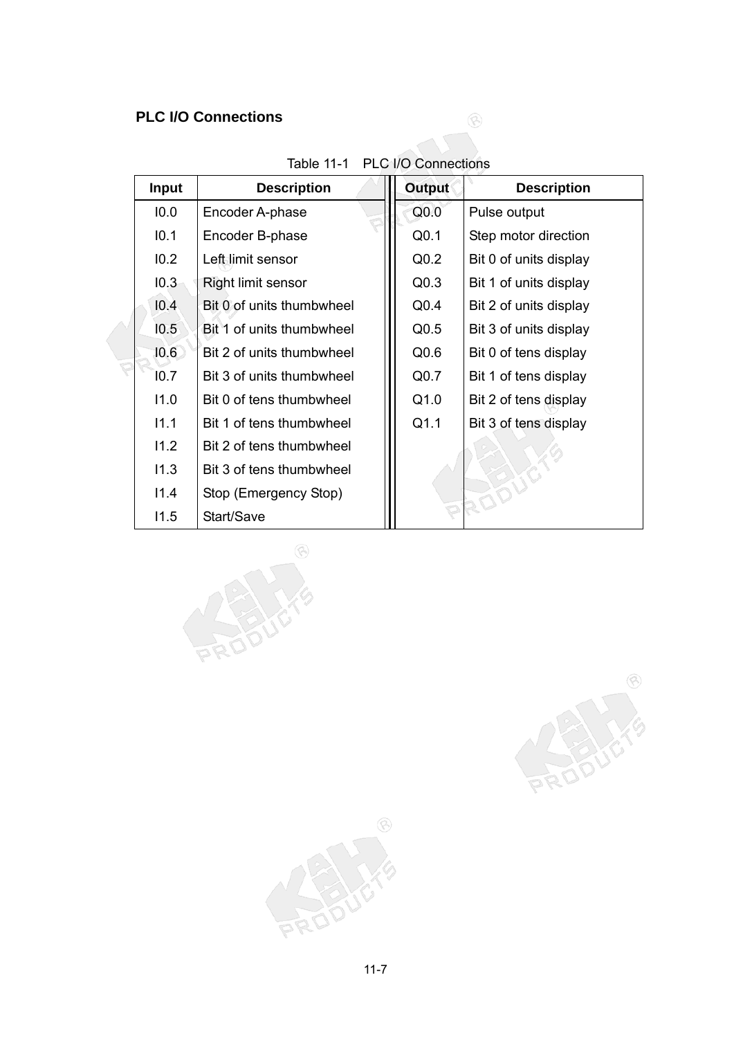## **PLC I/O Connections**

| Input | <b>Description</b>        | <b>Output</b>    | <b>Description</b>     |
|-------|---------------------------|------------------|------------------------|
| 10.0  | Encoder A-phase           | Q <sub>0.0</sub> | Pulse output           |
| 10.1  | Encoder B-phase           | Q <sub>0.1</sub> | Step motor direction   |
| 10.2  | Left limit sensor         | Q <sub>0.2</sub> | Bit 0 of units display |
| 10.3  | Right limit sensor        | Q <sub>0.3</sub> | Bit 1 of units display |
| 10.4  | Bit 0 of units thumbwheel | Q <sub>0.4</sub> | Bit 2 of units display |
| 10.5  | Bit 1 of units thumbwheel | Q <sub>0.5</sub> | Bit 3 of units display |
| 10.6  | Bit 2 of units thumbwheel | Q <sub>0.6</sub> | Bit 0 of tens display  |
| 10.7  | Bit 3 of units thumbwheel | Q <sub>0.7</sub> | Bit 1 of tens display  |
| 11.0  | Bit 0 of tens thumbwheel  | Q1.0             | Bit 2 of tens display  |
| 11.1  | Bit 1 of tens thumbwheel  | Q1.1             | Bit 3 of tens display  |
| 11.2  | Bit 2 of tens thumbwheel  |                  |                        |
| 11.3  | Bit 3 of tens thumbwheel  |                  |                        |
| 11.4  | Stop (Emergency Stop)     |                  |                        |
| 11.5  | Start/Save                |                  |                        |

| Table 11-1 PLC I/O Connections |
|--------------------------------|

 $\circledR$ 





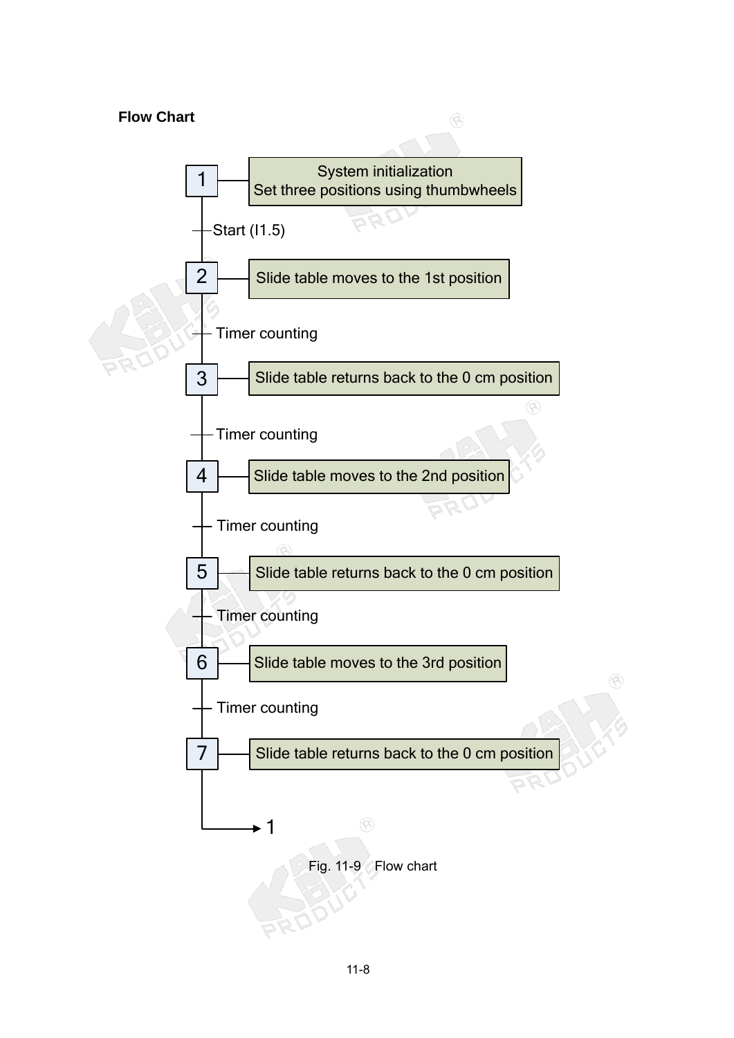# **Flow Chart**   $\circledR$ System initialization 1 Set three positions using thumbwheels Start (I1.5) 2 Slide table moves to the 1st position - Timer counting 3 Slide table returns back to the 0 cm position Timer counting Slide table moves to the 2nd position 4 Timer counting 5 Slide table returns back to the 0 cm position Timer counting 6 Slide table moves to the 3rd position - Timer counting  $7 \mapsto$  Slide table returns back to the 0 cm position 1 Fig. 11-9 Flow chart

R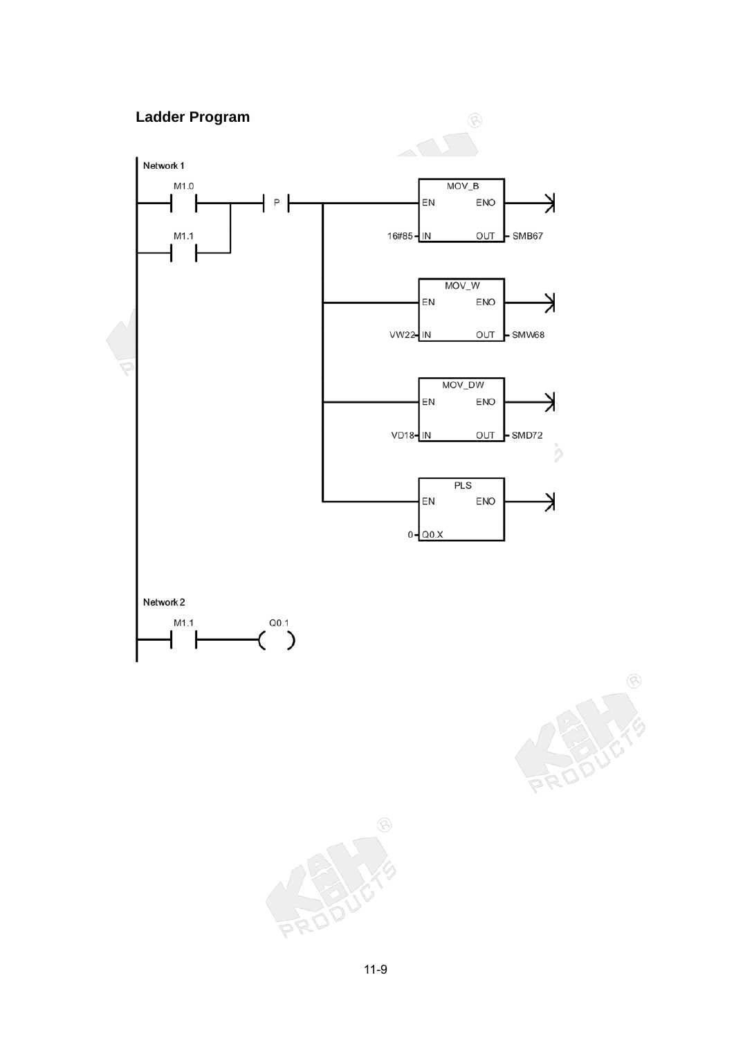# **Ladder Program**



 $\circledS$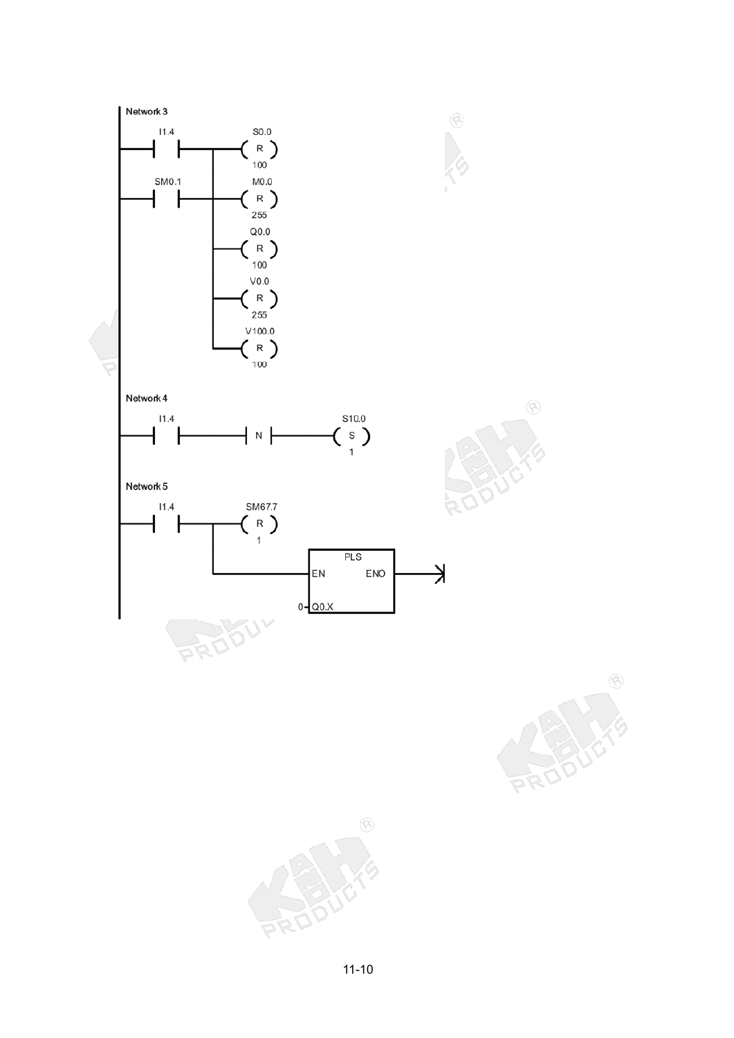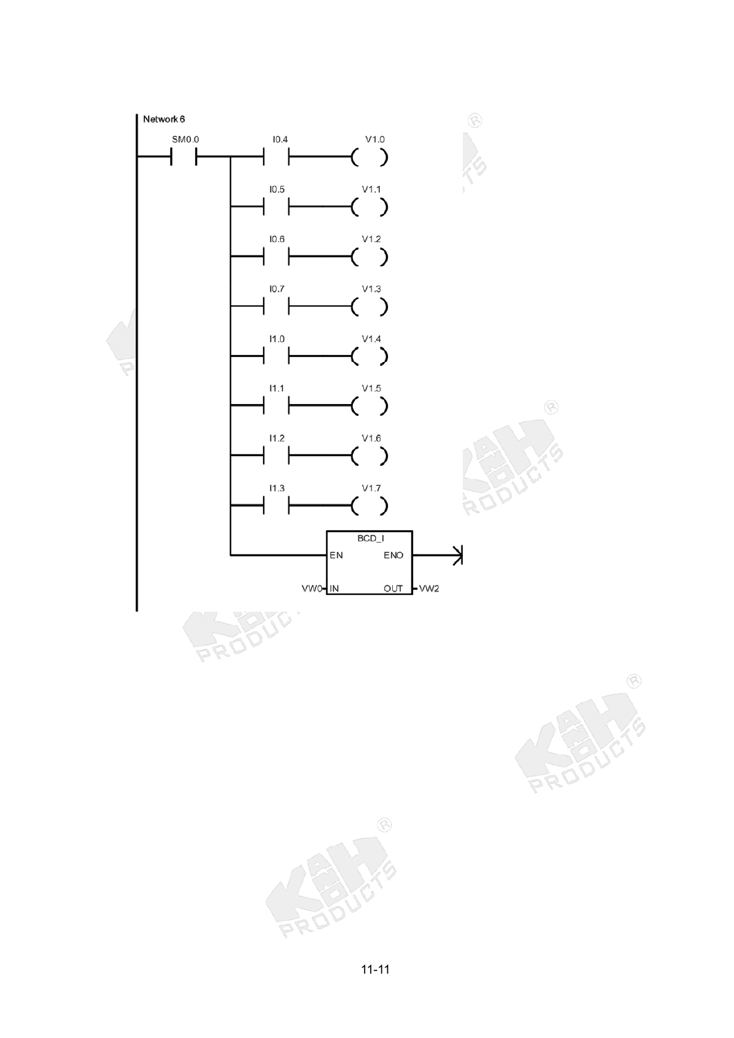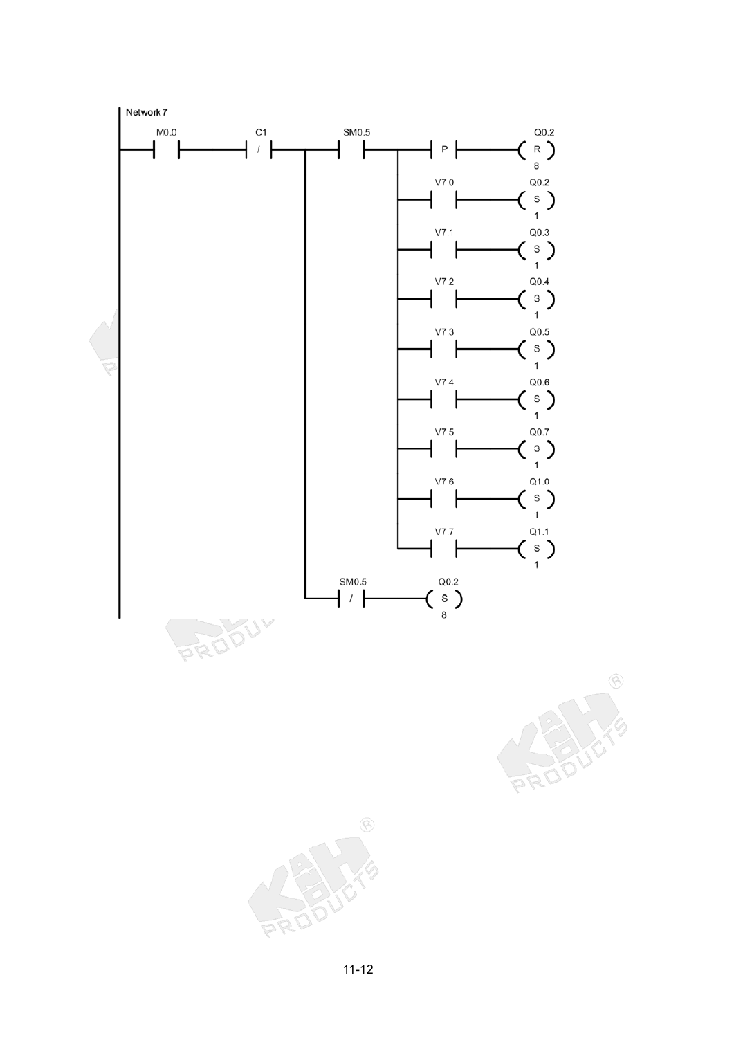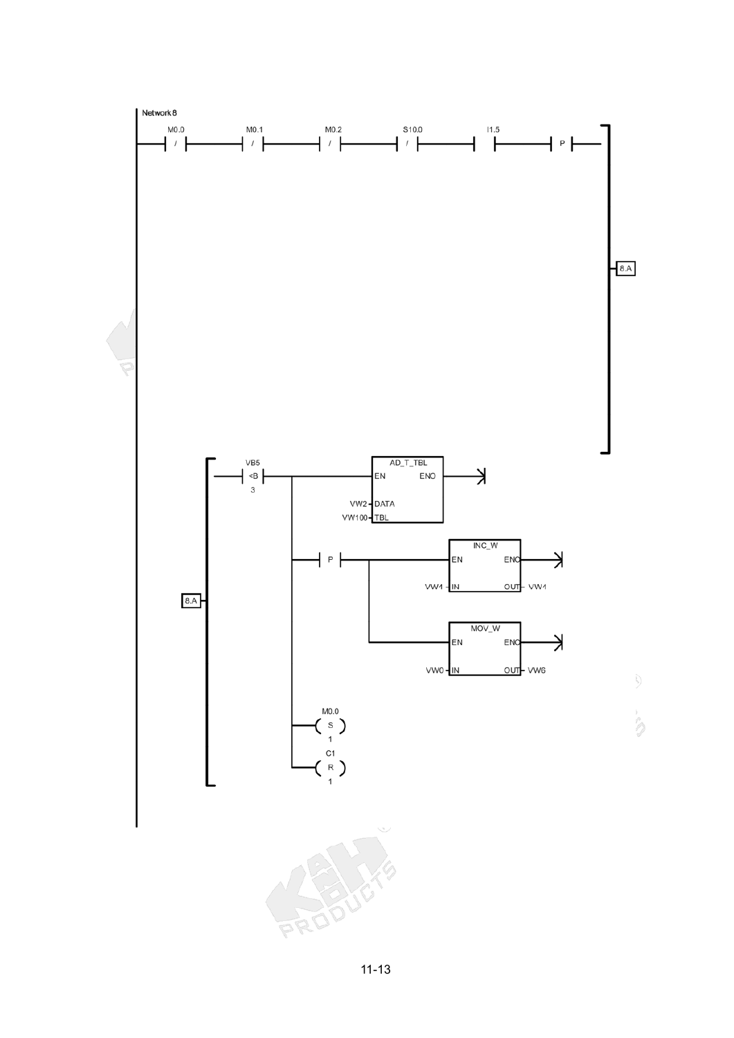

11-13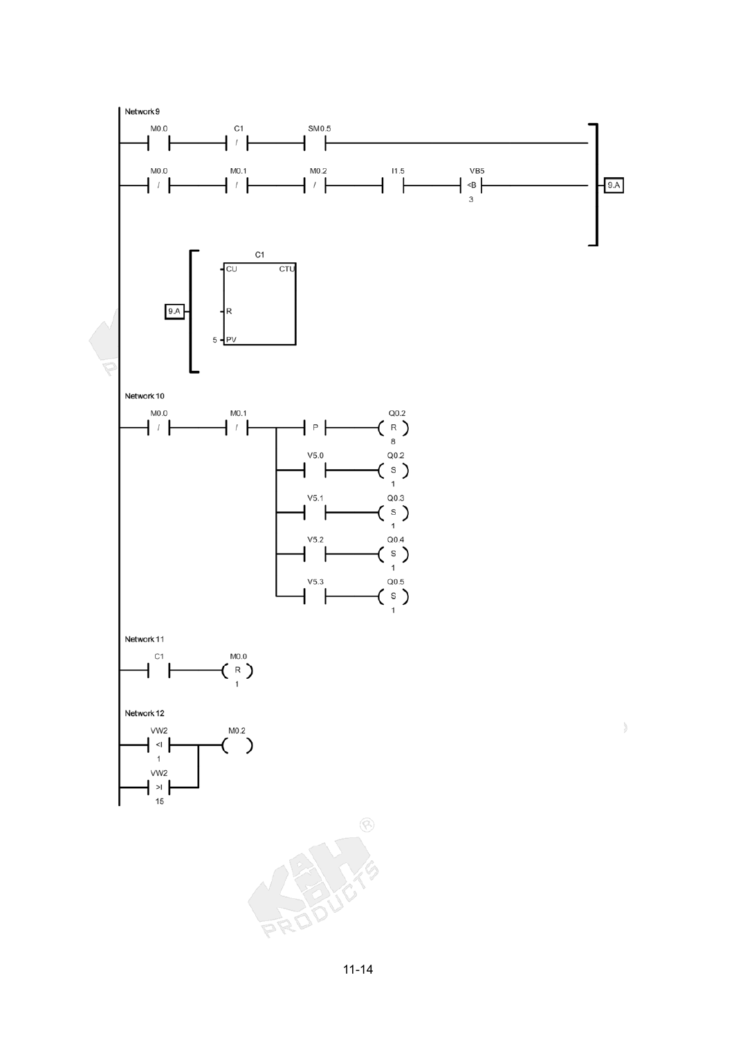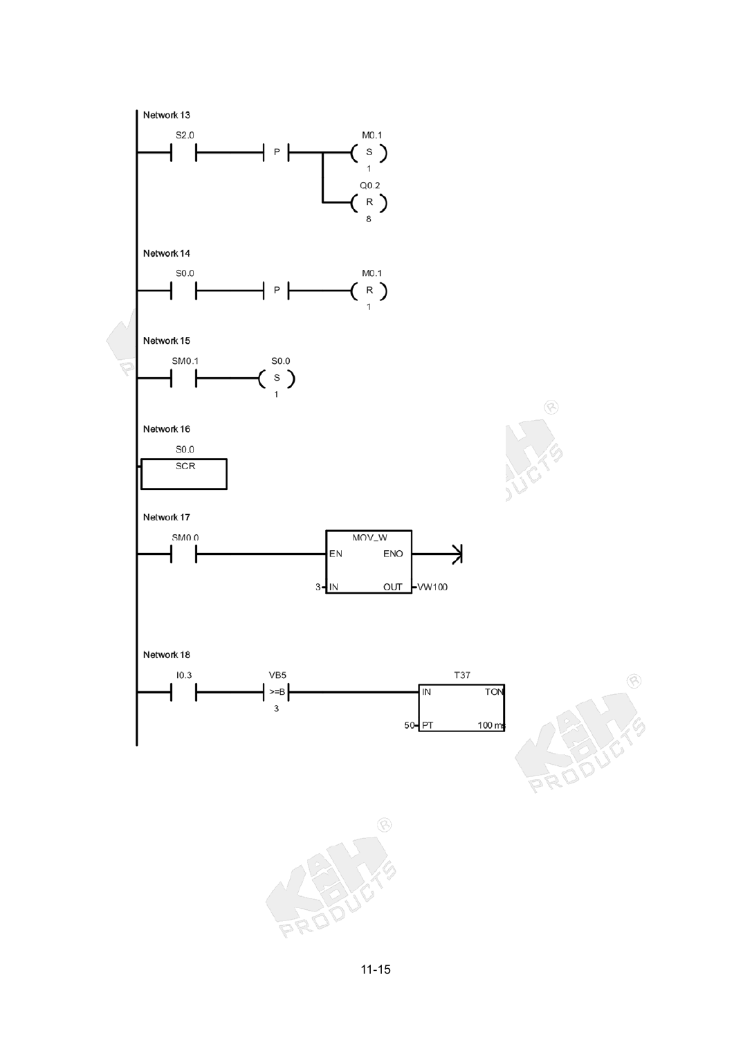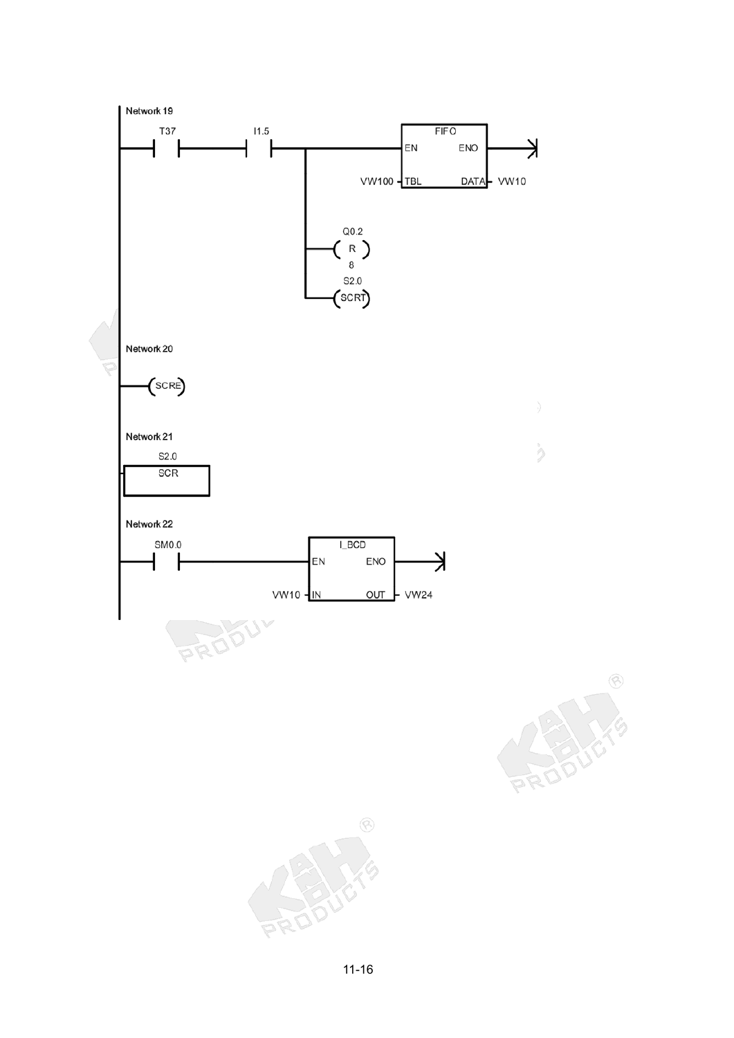

 $\circledS$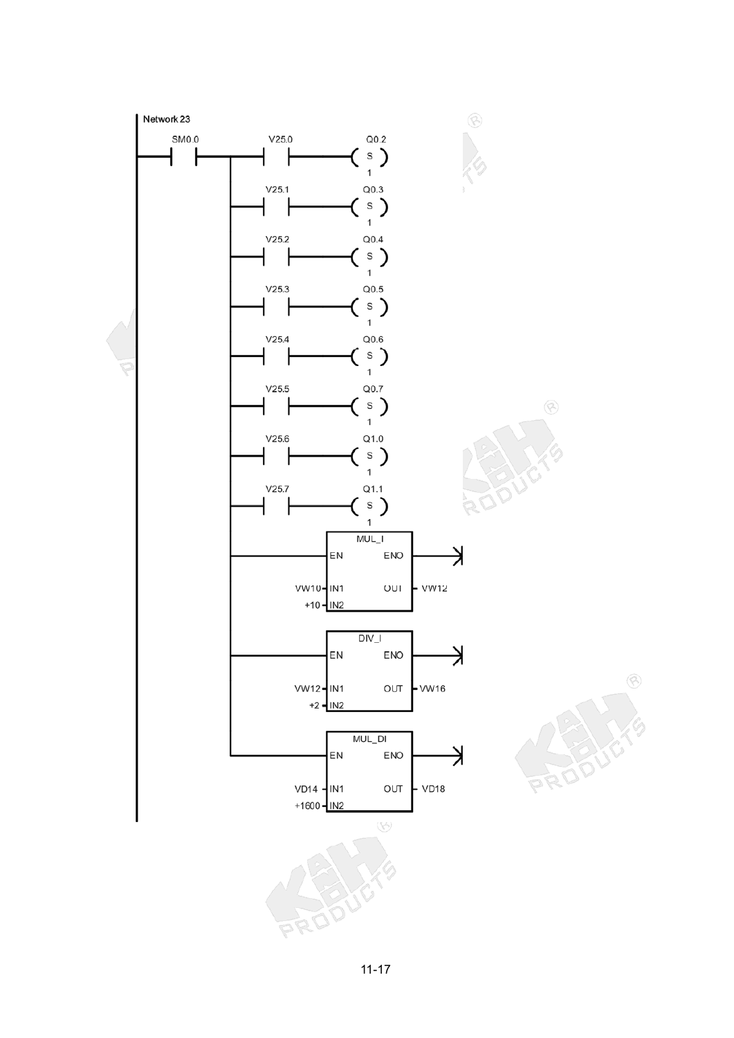

11-17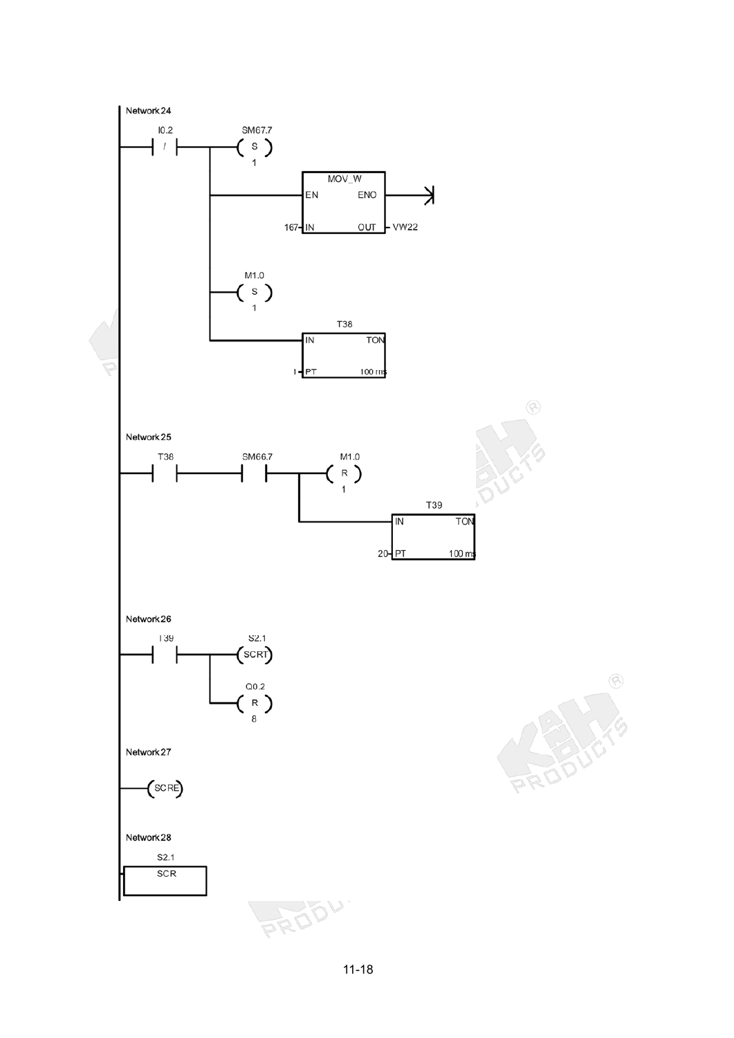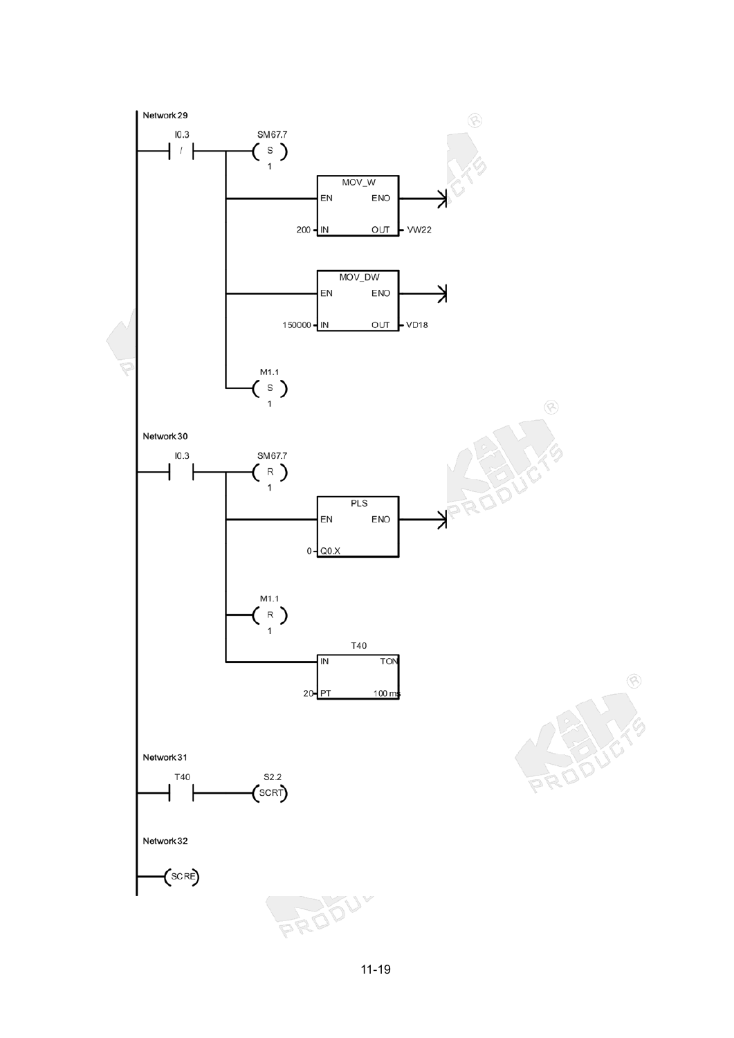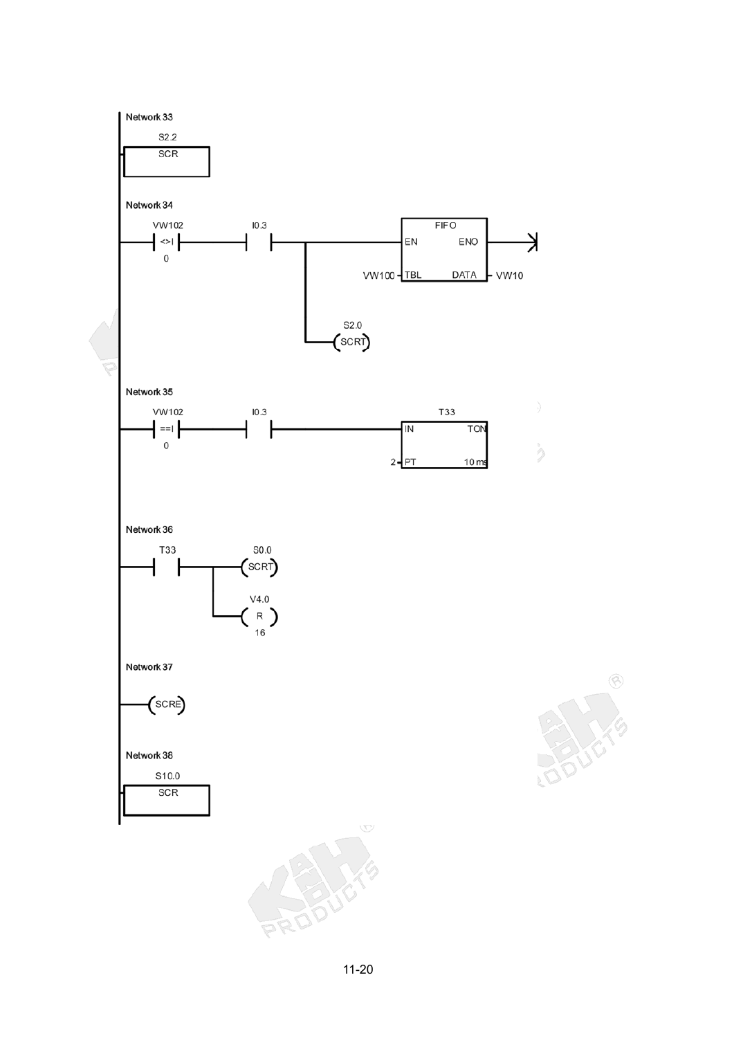

 $\circledS$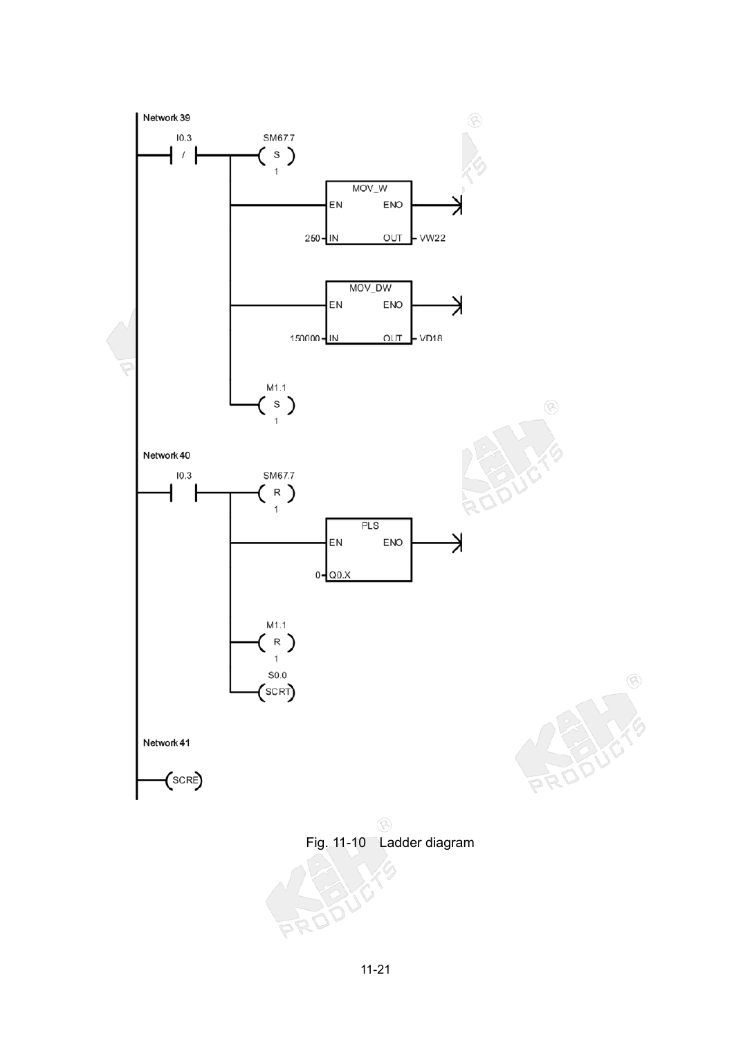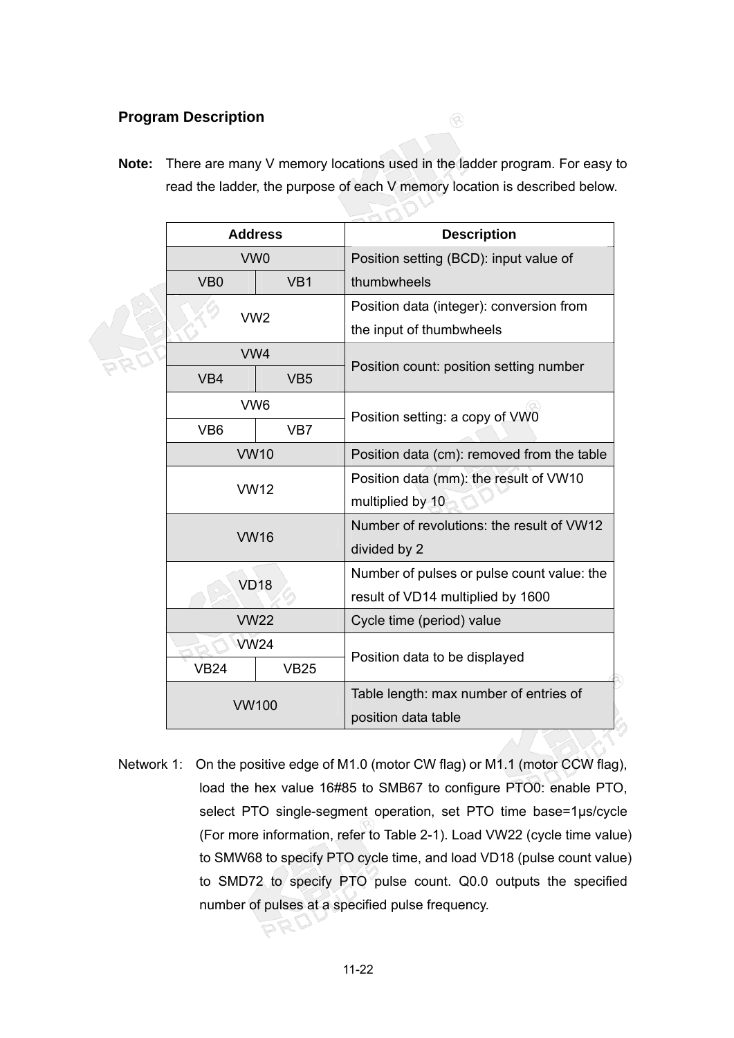#### **Program Description**

**Note:** There are many V memory locations used in the ladder program. For easy to read the ladder, the purpose of each V memory location is described below.

 $\circledR$ 

|                                    | <b>Address</b>  | <b>Description</b>                         |  |  |
|------------------------------------|-----------------|--------------------------------------------|--|--|
| VW <sub>0</sub>                    |                 | Position setting (BCD): input value of     |  |  |
| VB <sub>0</sub><br>VB <sub>1</sub> |                 | thumbwheels                                |  |  |
| VW <sub>2</sub>                    |                 | Position data (integer): conversion from   |  |  |
|                                    |                 | the input of thumbwheels                   |  |  |
|                                    | VW4             |                                            |  |  |
| VB4                                | VB <sub>5</sub> | Position count: position setting number    |  |  |
| VW <sub>6</sub>                    |                 | Position setting: a copy of VW0            |  |  |
| VB <sub>6</sub>                    | VB7             |                                            |  |  |
|                                    | <b>VW10</b>     | Position data (cm): removed from the table |  |  |
| <b>VW12</b>                        |                 | Position data (mm): the result of VW10     |  |  |
|                                    |                 | multiplied by 10                           |  |  |
| <b>VW16</b>                        |                 | Number of revolutions: the result of VW12  |  |  |
|                                    |                 | divided by 2                               |  |  |
| <b>VD18</b>                        |                 | Number of pulses or pulse count value: the |  |  |
|                                    |                 | result of VD14 multiplied by 1600          |  |  |
| <b>VW22</b>                        |                 | Cycle time (period) value                  |  |  |
| <b>VW24</b>                        |                 | Position data to be displayed              |  |  |
| <b>VB24</b>                        | <b>VB25</b>     |                                            |  |  |
| <b>VW100</b>                       |                 | Table length: max number of entries of     |  |  |
|                                    |                 | position data table                        |  |  |

Network 1: On the positive edge of M1.0 (motor CW flag) or M1.1 (motor CCW flag), load the hex value 16#85 to SMB67 to configure PTO0: enable PTO, select PTO single-segment operation, set PTO time base=1µs/cycle (For more information, refer to Table 2-1). Load VW22 (cycle time value) to SMW68 to specify PTO cycle time, and load VD18 (pulse count value) to SMD72 to specify PTO pulse count. Q0.0 outputs the specified number of pulses at a specified pulse frequency.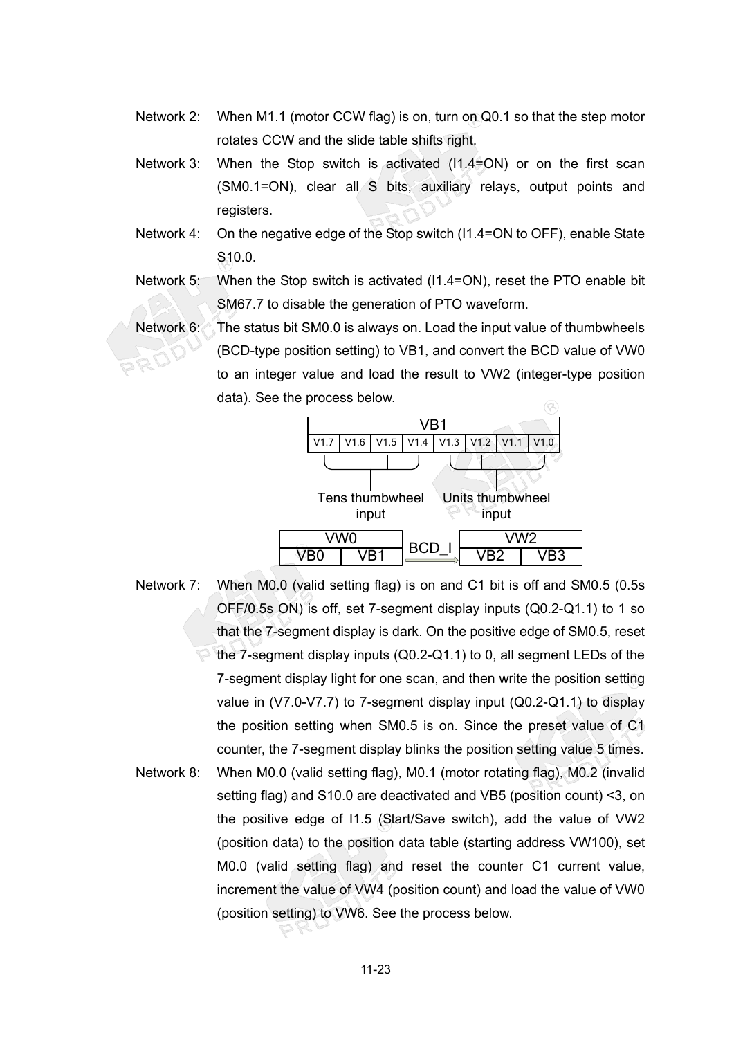- Network 2: When M1.1 (motor CCW flag) is on, turn on Q0.1 so that the step motor rotates CCW and the slide table shifts right.
- Network 3: When the Stop switch is activated (I1.4=ON) or on the first scan (SM0.1=ON), clear all S bits, auxiliary relays, output points and registers.
- Network 4: On the negative edge of the Stop switch (I1.4=ON to OFF), enable State S10.0.
- Network 5: When the Stop switch is activated (I1.4=ON), reset the PTO enable bit SM67.7 to disable the generation of PTO waveform.
- Network 6: The status bit SM0.0 is always on. Load the input value of thumbwheels (BCD-type position setting) to VB1, and convert the BCD value of VW0 to an integer value and load the result to VW2 (integer-type position data). See the process below.



Network 7: When M0.0 (valid setting flag) is on and C1 bit is off and SM0.5 (0.5s OFF/0.5s ON) is off, set 7-segment display inputs (Q0.2-Q1.1) to 1 so that the 7-segment display is dark. On the positive edge of SM0.5, reset the 7-segment display inputs (Q0.2-Q1.1) to 0, all segment LEDs of the 7-segment display light for one scan, and then write the position setting value in (V7.0-V7.7) to 7-segment display input (Q0.2-Q1.1) to display the position setting when SM0.5 is on. Since the preset value of C1 counter, the 7-segment display blinks the position setting value 5 times. Network 8: When M0.0 (valid setting flag), M0.1 (motor rotating flag), M0.2 (invalid setting flag) and S10.0 are deactivated and VB5 (position count) <3, on the positive edge of I1.5 (Start/Save switch), add the value of VW2 (position data) to the position data table (starting address VW100), set M0.0 (valid setting flag) and reset the counter C1 current value, increment the value of VW4 (position count) and load the value of VW0 (position setting) to VW6. See the process below.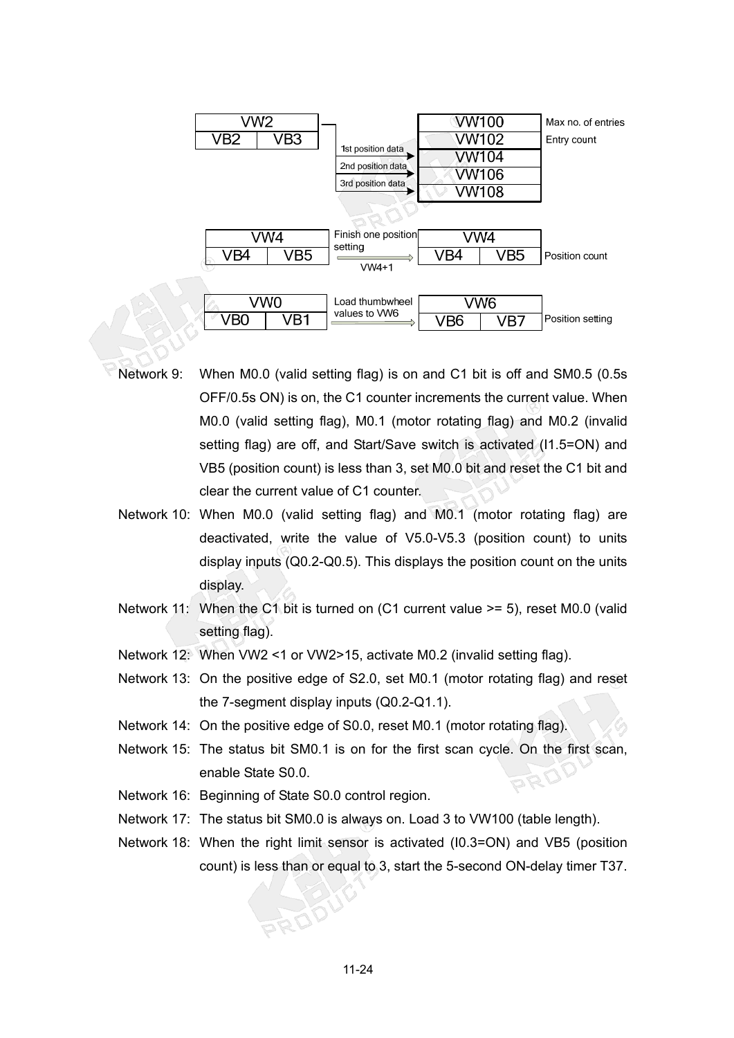

- Network 9: When M0.0 (valid setting flag) is on and C1 bit is off and SM0.5 (0.5s OFF/0.5s ON) is on, the C1 counter increments the current value. When M0.0 (valid setting flag), M0.1 (motor rotating flag) and M0.2 (invalid setting flag) are off, and Start/Save switch is activated (I1.5=ON) and VB5 (position count) is less than 3, set M0.0 bit and reset the C1 bit and clear the current value of C1 counter.
- Network 10: When M0.0 (valid setting flag) and M0.1 (motor rotating flag) are deactivated, write the value of V5.0-V5.3 (position count) to units display inputs (Q0.2-Q0.5). This displays the position count on the units display.
- Network 11: When the C1 bit is turned on (C1 current value >= 5), reset M0.0 (valid setting flag).
- Network 12: When VW2 <1 or VW2>15, activate M0.2 (invalid setting flag).
- Network 13: On the positive edge of S2.0, set M0.1 (motor rotating flag) and reset the 7-segment display inputs (Q0.2-Q1.1).
- Network 14: On the positive edge of S0.0, reset M0.1 (motor rotating flag).
- Network 15: The status bit SM0.1 is on for the first scan cycle. On the first scan, enable State S0.0. RO
- Network 16: Beginning of State S0.0 control region.
- Network 17: The status bit SM0.0 is always on. Load 3 to VW100 (table length).
- Network 18: When the right limit sensor is activated (I0.3=ON) and VB5 (position count) is less than or equal to 3, start the 5-second ON-delay timer T37.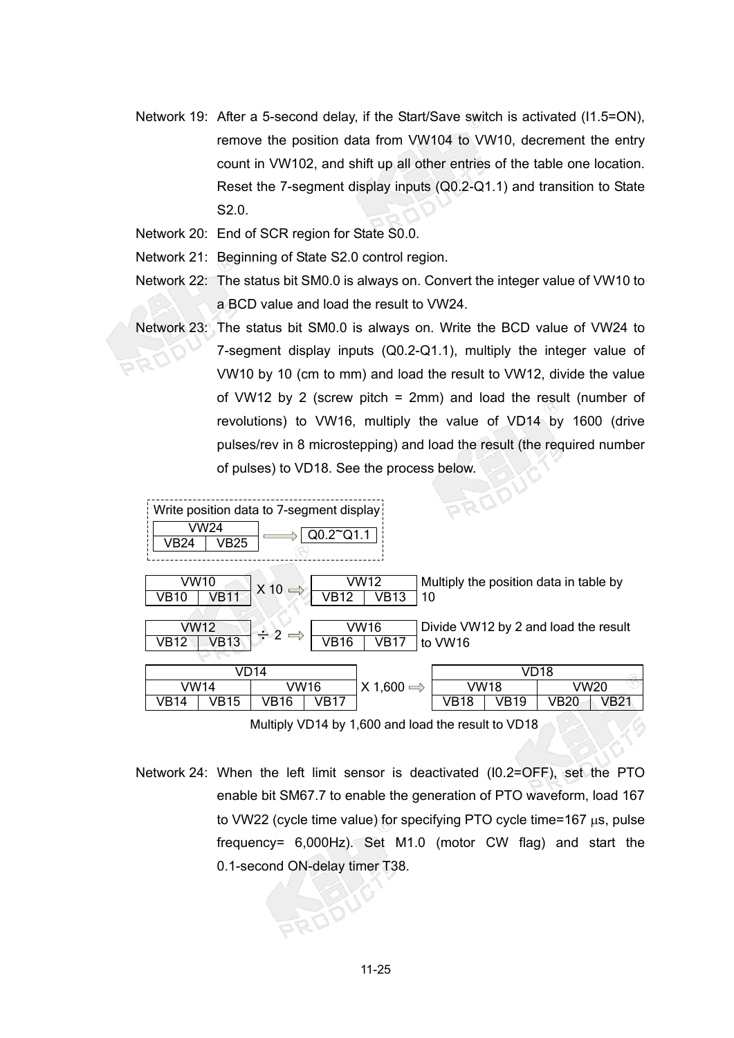- Network 19: After a 5-second delay, if the Start/Save switch is activated (I1.5=ON), remove the position data from VW104 to VW10, decrement the entry count in VW102, and shift up all other entries of the table one location. Reset the 7-segment display inputs (Q0.2-Q1.1) and transition to State S2.0.
- Network 20: End of SCR region for State S0.0.
- Network 21: Beginning of State S2.0 control region.
- Network 22: The status bit SM0.0 is always on. Convert the integer value of VW10 to a BCD value and load the result to VW24.
- Network 23: The status bit SM0.0 is always on. Write the BCD value of VW24 to 7-segment display inputs (Q0.2-Q1.1), multiply the integer value of VW10 by 10 (cm to mm) and load the result to VW12, divide the value of VW12 by 2 (screw pitch = 2mm) and load the result (number of revolutions) to VW16, multiply the value of VD14 by 1600 (drive pulses/rev in 8 microstepping) and load the result (the required number of pulses) to VD18. See the process below.

| Write position data to 7-segment display:                                                                          |             |      |                       |      |      | PROUT |      |      |
|--------------------------------------------------------------------------------------------------------------------|-------------|------|-----------------------|------|------|-------|------|------|
| <b>VW24</b><br>VB24                                                                                                | <b>VB25</b> |      | $Q0.2^{\sim}Q1.1$     |      |      |       |      |      |
| VW10<br>VW12<br>Multiply the position data in table by<br>$X$ 10<br><b>VB11</b><br>VB12<br>VB13<br>10<br>VB10      |             |      |                       |      |      |       |      |      |
| VW12<br>VW16<br>Divide VW12 by 2 and load the result<br>$\div 2$<br><b>VB13</b><br>to VW16<br>VB12<br>VB16<br>VB17 |             |      |                       |      |      |       |      |      |
|                                                                                                                    | VD14        |      |                       |      |      |       | VD18 |      |
| VW14                                                                                                               | VW16        |      | $X 1,600 \Rightarrow$ | VW18 |      | VW20  |      |      |
| VB14                                                                                                               | VB15        | VB16 | VB17                  |      | VB18 | VB19  | VB20 | VB21 |

Multiply VD14 by 1,600 and load the result to VD18

Network 24: When the left limit sensor is deactivated (I0.2=OFF), set the PTO enable bit SM67.7 to enable the generation of PTO waveform, load 167 to VW22 (cycle time value) for specifying PTO cycle time=167 us, pulse frequency= 6,000Hz). Set M1.0 (motor CW flag) and start the 0.1-second ON-delay timer T38.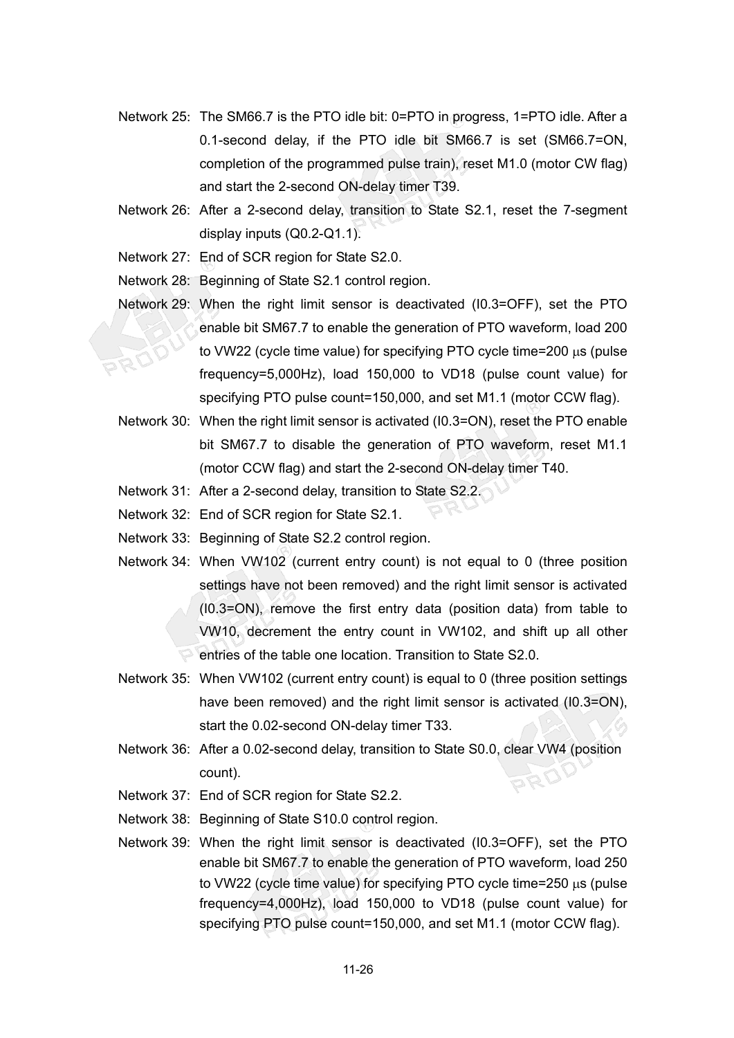- Network 25: The SM66.7 is the PTO idle bit: 0=PTO in progress, 1=PTO idle. After a 0.1-second delay, if the PTO idle bit SM66.7 is set (SM66.7=ON, completion of the programmed pulse train), reset M1.0 (motor CW flag) and start the 2-second ON-delay timer T39.
- Network 26: After a 2-second delay, transition to State S2.1, reset the 7-segment display inputs (Q0.2-Q1.1).
- Network 27: End of SCR region for State S2.0.

Network 28: Beginning of State S2.1 control region.

- Network 29: When the right limit sensor is deactivated (I0.3=OFF), set the PTO enable bit SM67.7 to enable the generation of PTO waveform, load 200 to VW22 (cycle time value) for specifying PTO cycle time=200  $\mu$ s (pulse frequency=5,000Hz), load 150,000 to VD18 (pulse count value) for specifying PTO pulse count=150,000, and set M1.1 (motor CCW flag).
- Network 30: When the right limit sensor is activated (I0.3=ON), reset the PTO enable bit SM67.7 to disable the generation of PTO waveform, reset M1.1 (motor CCW flag) and start the 2-second ON-delay timer T40.
- Network 31: After a 2-second delay, transition to State S2.2.
- Network 32: End of SCR region for State S2.1.
- Network 33: Beginning of State S2.2 control region.
- Network 34: When VW102 (current entry count) is not equal to 0 (three position settings have not been removed) and the right limit sensor is activated (I0.3=ON), remove the first entry data (position data) from table to VW10, decrement the entry count in VW102, and shift up all other entries of the table one location. Transition to State S2.0.
- Network 35: When VW102 (current entry count) is equal to 0 (three position settings have been removed) and the right limit sensor is activated (I0.3=ON), start the 0.02-second ON-delay timer T33.
- Network 36: After a 0.02-second delay, transition to State S0.0, clear VW4 (position count).
- Network 37: End of SCR region for State S2.2.
- Network 38: Beginning of State S10.0 control region.
- Network 39: When the right limit sensor is deactivated (I0.3=OFF), set the PTO enable bit SM67.7 to enable the generation of PTO waveform, load 250 to VW22 (cycle time value) for specifying PTO cycle time=250  $\mu$ s (pulse frequency=4,000Hz), load 150,000 to VD18 (pulse count value) for specifying PTO pulse count=150,000, and set M1.1 (motor CCW flag).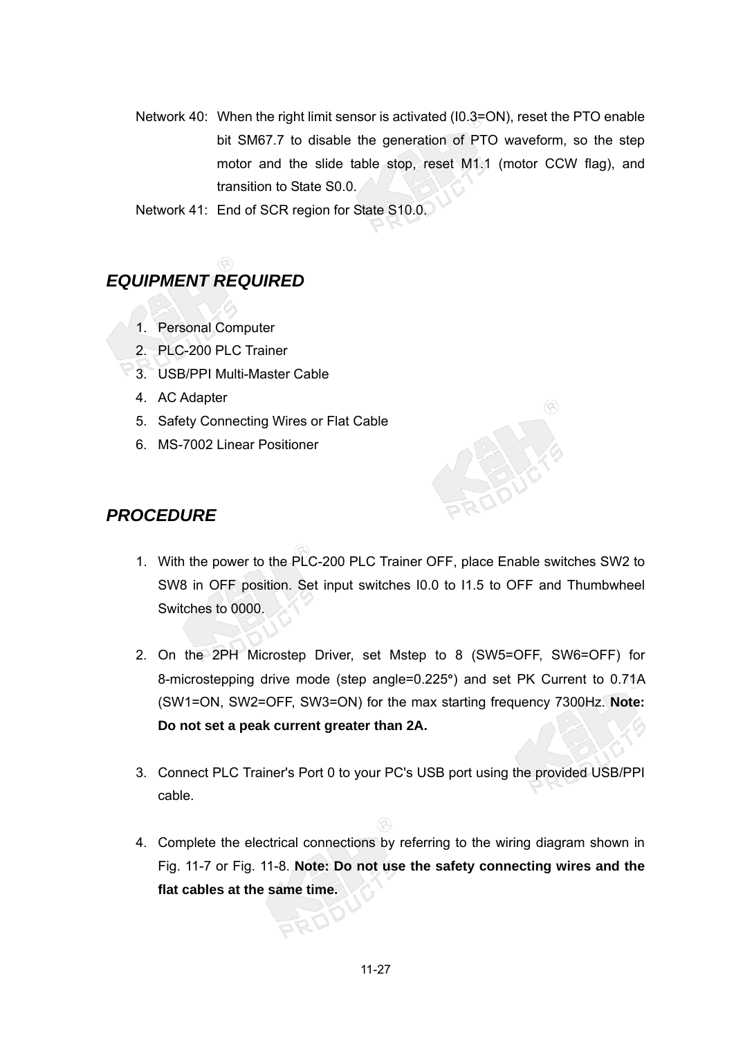Network 40: When the right limit sensor is activated (I0.3=ON), reset the PTO enable bit SM67.7 to disable the generation of PTO waveform, so the step motor and the slide table stop, reset M1.1 (motor CCW flag), and transition to State S0.0.

Network 41: End of SCR region for State S10.0.

# *EQUIPMENT REQUIRED*

- 1. Personal Computer
- 2. PLC-200 PLC Trainer
- 3. USB/PPI Multi-Master Cable
- 4. AC Adapter
- 5. Safety Connecting Wires or Flat Cable
- 6. MS-7002 Linear Positioner

## *PROCEDURE*

- 1. With the power to the PLC-200 PLC Trainer OFF, place Enable switches SW2 to SW8 in OFF position. Set input switches I0.0 to I1.5 to OFF and Thumbwheel Switches to 0000.
- 2. On the 2PH Microstep Driver, set Mstep to 8 (SW5=OFF, SW6=OFF) for 8-microstepping drive mode (step angle=0.225**°**) and set PK Current to 0.71A (SW1=ON, SW2=OFF, SW3=ON) for the max starting frequency 7300Hz. **Note: Do not set a peak current greater than 2A.**
- 3. Connect PLC Trainer's Port 0 to your PC's USB port using the provided USB/PPI cable.
- 4. Complete the electrical connections by referring to the wiring diagram shown in Fig. 11-7 or Fig. 11-8. **Note: Do not use the safety connecting wires and the flat cables at the same time.**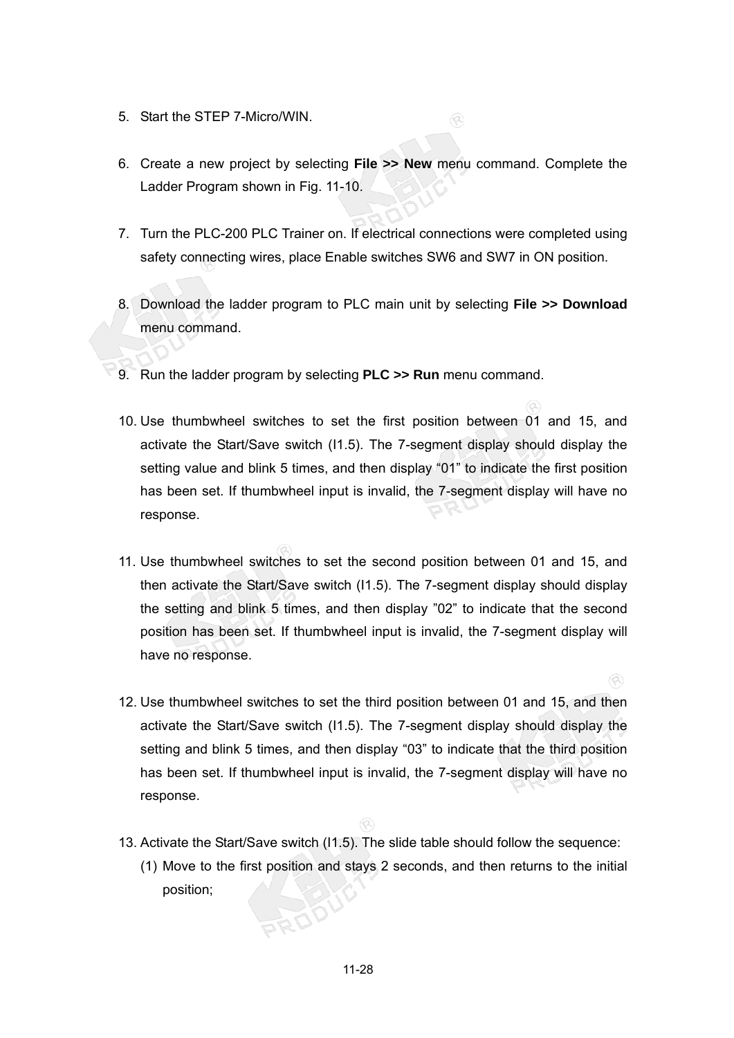- 5. Start the STEP 7-Micro/WIN.
- 6. Create a new project by selecting **File >> New** menu command. Complete the Ladder Program shown in Fig. 11-10.

 $\circledR$ 

- 7. Turn the PLC-200 PLC Trainer on. If electrical connections were completed using safety connecting wires, place Enable switches SW6 and SW7 in ON position.
- 8. Download the ladder program to PLC main unit by selecting **File >> Download** menu command.
- 9. Run the ladder program by selecting **PLC >> Run** menu command.
- 10. Use thumbwheel switches to set the first position between 01 and 15, and activate the Start/Save switch (I1.5). The 7-segment display should display the setting value and blink 5 times, and then display "01" to indicate the first position has been set. If thumbwheel input is invalid, the 7-segment display will have no response.
- 11. Use thumbwheel switches to set the second position between 01 and 15, and then activate the Start/Save switch (I1.5). The 7-segment display should display the setting and blink 5 times, and then display "02" to indicate that the second position has been set. If thumbwheel input is invalid, the 7-segment display will have no response.
- 12. Use thumbwheel switches to set the third position between 01 and 15, and then activate the Start/Save switch (I1.5). The 7-segment display should display the setting and blink 5 times, and then display "03" to indicate that the third position has been set. If thumbwheel input is invalid, the 7-segment display will have no response.

 $\circledcirc$ 

- 13. Activate the Start/Save switch (I1.5). The slide table should follow the sequence:
	- (1) Move to the first position and stays 2 seconds, and then returns to the initial position;